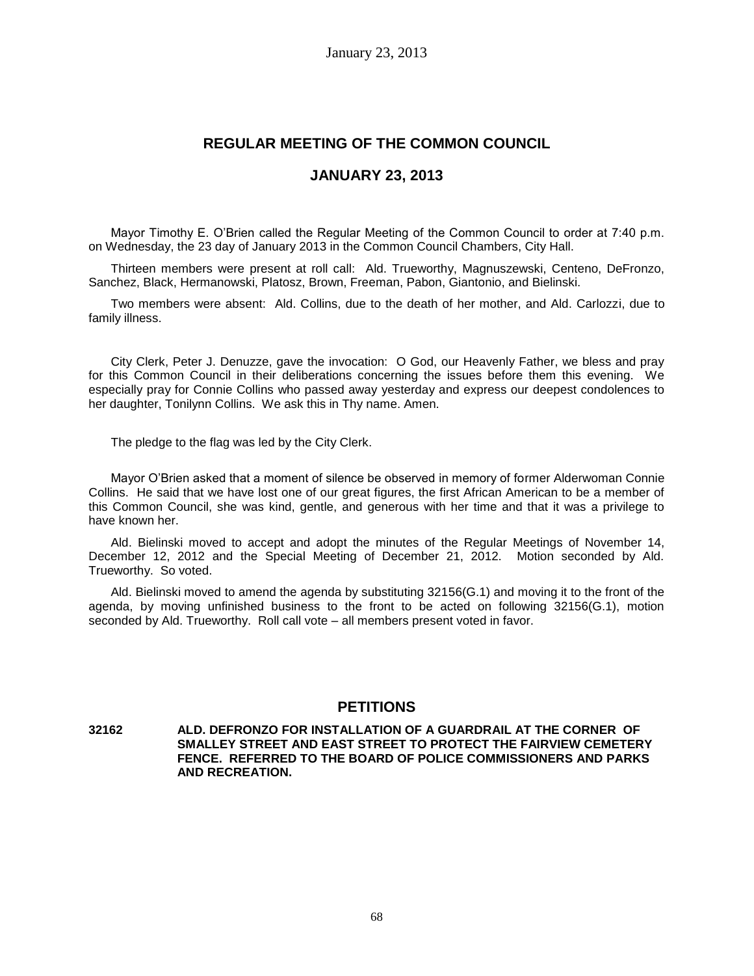# **REGULAR MEETING OF THE COMMON COUNCIL**

### **JANUARY 23, 2013**

Mayor Timothy E. O'Brien called the Regular Meeting of the Common Council to order at 7:40 p.m. on Wednesday, the 23 day of January 2013 in the Common Council Chambers, City Hall.

Thirteen members were present at roll call: Ald. Trueworthy, Magnuszewski, Centeno, DeFronzo, Sanchez, Black, Hermanowski, Platosz, Brown, Freeman, Pabon, Giantonio, and Bielinski.

Two members were absent: Ald. Collins, due to the death of her mother, and Ald. Carlozzi, due to family illness.

City Clerk, Peter J. Denuzze, gave the invocation: O God, our Heavenly Father, we bless and pray for this Common Council in their deliberations concerning the issues before them this evening. We especially pray for Connie Collins who passed away yesterday and express our deepest condolences to her daughter, Tonilynn Collins. We ask this in Thy name. Amen.

The pledge to the flag was led by the City Clerk.

Mayor O'Brien asked that a moment of silence be observed in memory of former Alderwoman Connie Collins. He said that we have lost one of our great figures, the first African American to be a member of this Common Council, she was kind, gentle, and generous with her time and that it was a privilege to have known her.

Ald. Bielinski moved to accept and adopt the minutes of the Regular Meetings of November 14, December 12, 2012 and the Special Meeting of December 21, 2012. Motion seconded by Ald. Trueworthy. So voted.

Ald. Bielinski moved to amend the agenda by substituting 32156(G.1) and moving it to the front of the agenda, by moving unfinished business to the front to be acted on following 32156(G.1), motion seconded by Ald. Trueworthy. Roll call vote – all members present voted in favor.

### **PETITIONS**

**32162 ALD. DEFRONZO FOR INSTALLATION OF A GUARDRAIL AT THE CORNER OF SMALLEY STREET AND EAST STREET TO PROTECT THE FAIRVIEW CEMETERY FENCE. REFERRED TO THE BOARD OF POLICE COMMISSIONERS AND PARKS AND RECREATION.**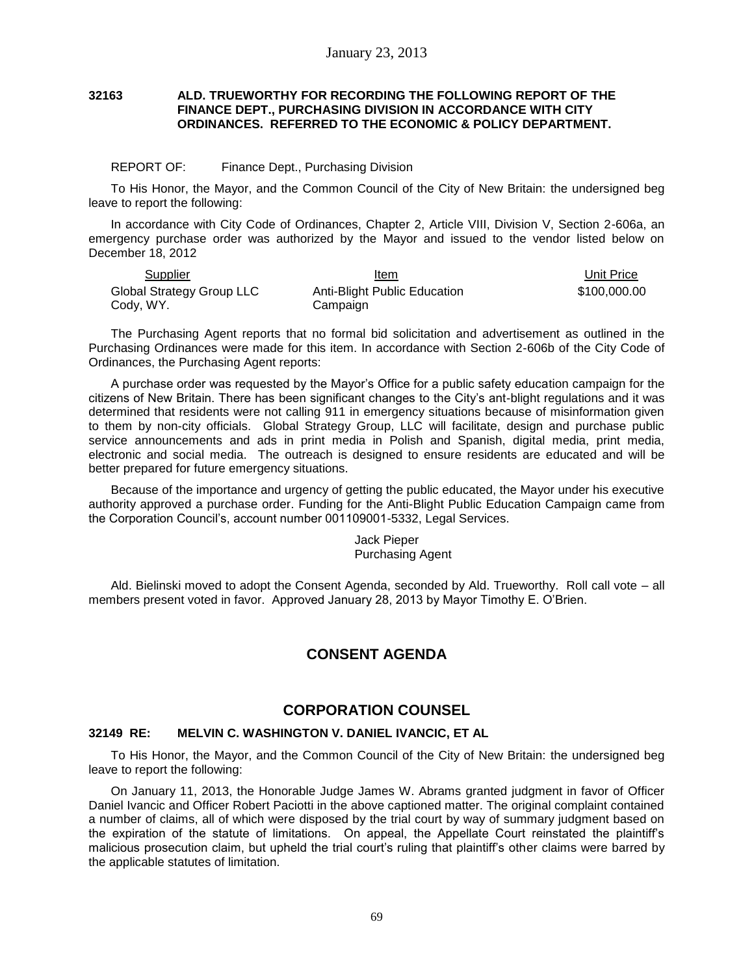#### **32163 ALD. TRUEWORTHY FOR RECORDING THE FOLLOWING REPORT OF THE FINANCE DEPT., PURCHASING DIVISION IN ACCORDANCE WITH CITY ORDINANCES. REFERRED TO THE ECONOMIC & POLICY DEPARTMENT.**

REPORT OF: Finance Dept., Purchasing Division

To His Honor, the Mayor, and the Common Council of the City of New Britain: the undersigned beg leave to report the following:

In accordance with City Code of Ordinances, Chapter 2, Article VIII, Division V, Section 2-606a, an emergency purchase order was authorized by the Mayor and issued to the vendor listed below on December 18, 2012

| Supplier                  | Item                         | Unit Price   |
|---------------------------|------------------------------|--------------|
| Global Strategy Group LLC | Anti-Blight Public Education | \$100,000.00 |
| Cody, WY.                 | Campaign                     |              |

The Purchasing Agent reports that no formal bid solicitation and advertisement as outlined in the Purchasing Ordinances were made for this item. In accordance with Section 2-606b of the City Code of Ordinances, the Purchasing Agent reports:

A purchase order was requested by the Mayor's Office for a public safety education campaign for the citizens of New Britain. There has been significant changes to the City's ant-blight regulations and it was determined that residents were not calling 911 in emergency situations because of misinformation given to them by non-city officials. Global Strategy Group, LLC will facilitate, design and purchase public service announcements and ads in print media in Polish and Spanish, digital media, print media, electronic and social media. The outreach is designed to ensure residents are educated and will be better prepared for future emergency situations.

Because of the importance and urgency of getting the public educated, the Mayor under his executive authority approved a purchase order. Funding for the Anti-Blight Public Education Campaign came from the Corporation Council's, account number 001109001-5332, Legal Services.

> Jack Pieper Purchasing Agent

Ald. Bielinski moved to adopt the Consent Agenda, seconded by Ald. Trueworthy. Roll call vote – all members present voted in favor. Approved January 28, 2013 by Mayor Timothy E. O'Brien.

# **CONSENT AGENDA**

### **CORPORATION COUNSEL**

#### **32149 RE: MELVIN C. WASHINGTON V. DANIEL IVANCIC, ET AL**

To His Honor, the Mayor, and the Common Council of the City of New Britain: the undersigned beg leave to report the following:

On January 11, 2013, the Honorable Judge James W. Abrams granted judgment in favor of Officer Daniel Ivancic and Officer Robert Paciotti in the above captioned matter. The original complaint contained a number of claims, all of which were disposed by the trial court by way of summary judgment based on the expiration of the statute of limitations. On appeal, the Appellate Court reinstated the plaintiff's malicious prosecution claim, but upheld the trial court's ruling that plaintiff's other claims were barred by the applicable statutes of limitation.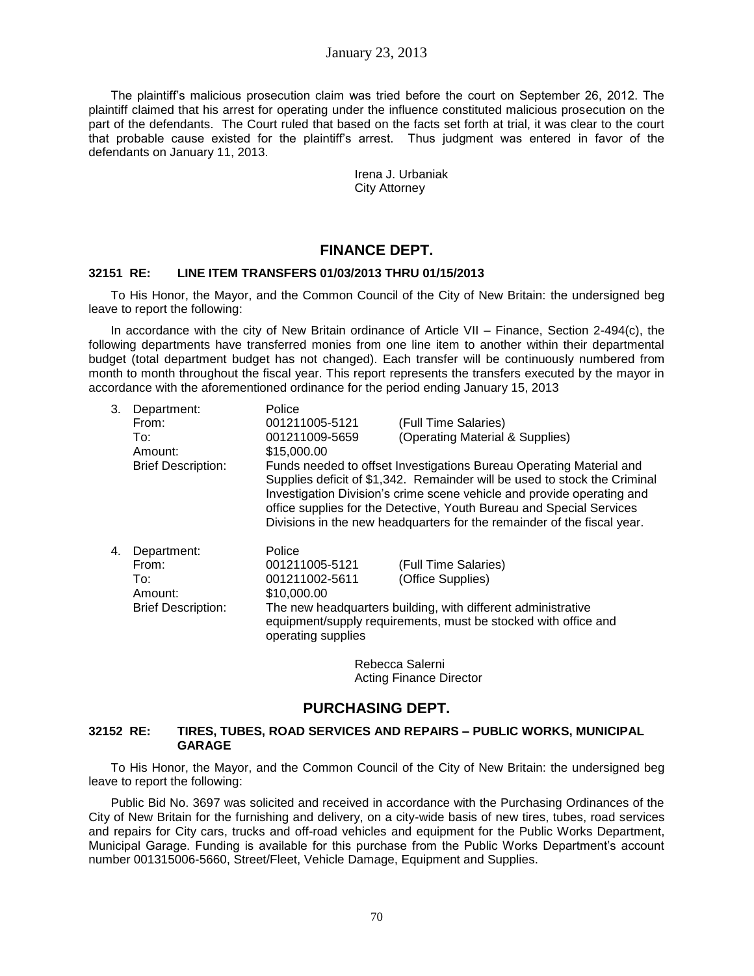The plaintiff's malicious prosecution claim was tried before the court on September 26, 2012. The plaintiff claimed that his arrest for operating under the influence constituted malicious prosecution on the part of the defendants. The Court ruled that based on the facts set forth at trial, it was clear to the court that probable cause existed for the plaintiff's arrest. Thus judgment was entered in favor of the defendants on January 11, 2013.

> Irena J. Urbaniak City Attorney

## **FINANCE DEPT.**

### **32151 RE: LINE ITEM TRANSFERS 01/03/2013 THRU 01/15/2013**

To His Honor, the Mayor, and the Common Council of the City of New Britain: the undersigned beg leave to report the following:

In accordance with the city of New Britain ordinance of Article VII – Finance, Section 2-494(c), the following departments have transferred monies from one line item to another within their departmental budget (total department budget has not changed). Each transfer will be continuously numbered from month to month throughout the fiscal year. This report represents the transfers executed by the mayor in accordance with the aforementioned ordinance for the period ending January 15, 2013

| 3. | Department:<br>From:<br>To:<br>Amount:<br><b>Brief Description:</b> | Police<br>001211005-5121<br>001211009-5659<br>\$15,000.00                                                                                                                                                                                                                                              | (Full Time Salaries)<br>(Operating Material & Supplies)<br>Funds needed to offset Investigations Bureau Operating Material and                                              |  |
|----|---------------------------------------------------------------------|--------------------------------------------------------------------------------------------------------------------------------------------------------------------------------------------------------------------------------------------------------------------------------------------------------|-----------------------------------------------------------------------------------------------------------------------------------------------------------------------------|--|
|    |                                                                     | Supplies deficit of \$1,342. Remainder will be used to stock the Criminal<br>Investigation Division's crime scene vehicle and provide operating and<br>office supplies for the Detective, Youth Bureau and Special Services<br>Divisions in the new headquarters for the remainder of the fiscal year. |                                                                                                                                                                             |  |
| 4. | Department:<br>From:<br>To:<br>Amount:<br><b>Brief Description:</b> | Police<br>001211005-5121<br>001211002-5611<br>\$10,000,00<br>operating supplies                                                                                                                                                                                                                        | (Full Time Salaries)<br>(Office Supplies)<br>The new headquarters building, with different administrative<br>equipment/supply requirements, must be stocked with office and |  |

Rebecca Salerni Acting Finance Director

### **PURCHASING DEPT.**

#### **32152 RE: TIRES, TUBES, ROAD SERVICES AND REPAIRS – PUBLIC WORKS, MUNICIPAL GARAGE**

To His Honor, the Mayor, and the Common Council of the City of New Britain: the undersigned beg leave to report the following:

Public Bid No. 3697 was solicited and received in accordance with the Purchasing Ordinances of the City of New Britain for the furnishing and delivery, on a city-wide basis of new tires, tubes, road services and repairs for City cars, trucks and off-road vehicles and equipment for the Public Works Department, Municipal Garage. Funding is available for this purchase from the Public Works Department's account number 001315006-5660, Street/Fleet, Vehicle Damage, Equipment and Supplies.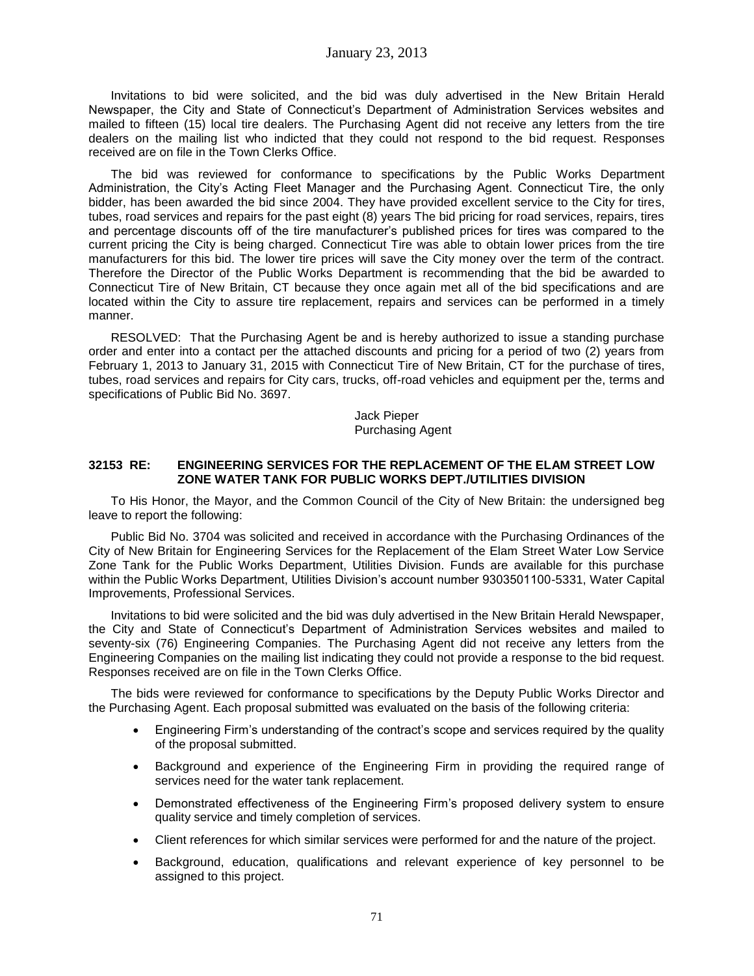Invitations to bid were solicited, and the bid was duly advertised in the New Britain Herald Newspaper, the City and State of Connecticut's Department of Administration Services websites and mailed to fifteen (15) local tire dealers. The Purchasing Agent did not receive any letters from the tire dealers on the mailing list who indicted that they could not respond to the bid request. Responses received are on file in the Town Clerks Office.

The bid was reviewed for conformance to specifications by the Public Works Department Administration, the City's Acting Fleet Manager and the Purchasing Agent. Connecticut Tire, the only bidder, has been awarded the bid since 2004. They have provided excellent service to the City for tires, tubes, road services and repairs for the past eight (8) years The bid pricing for road services, repairs, tires and percentage discounts off of the tire manufacturer's published prices for tires was compared to the current pricing the City is being charged. Connecticut Tire was able to obtain lower prices from the tire manufacturers for this bid. The lower tire prices will save the City money over the term of the contract. Therefore the Director of the Public Works Department is recommending that the bid be awarded to Connecticut Tire of New Britain, CT because they once again met all of the bid specifications and are located within the City to assure tire replacement, repairs and services can be performed in a timely manner.

RESOLVED: That the Purchasing Agent be and is hereby authorized to issue a standing purchase order and enter into a contact per the attached discounts and pricing for a period of two (2) years from February 1, 2013 to January 31, 2015 with Connecticut Tire of New Britain, CT for the purchase of tires, tubes, road services and repairs for City cars, trucks, off-road vehicles and equipment per the, terms and specifications of Public Bid No. 3697.

> Jack Pieper Purchasing Agent

#### **32153 RE: ENGINEERING SERVICES FOR THE REPLACEMENT OF THE ELAM STREET LOW ZONE WATER TANK FOR PUBLIC WORKS DEPT./UTILITIES DIVISION**

To His Honor, the Mayor, and the Common Council of the City of New Britain: the undersigned beg leave to report the following:

Public Bid No. 3704 was solicited and received in accordance with the Purchasing Ordinances of the City of New Britain for Engineering Services for the Replacement of the Elam Street Water Low Service Zone Tank for the Public Works Department, Utilities Division. Funds are available for this purchase within the Public Works Department, Utilities Division's account number 9303501100-5331, Water Capital Improvements, Professional Services.

Invitations to bid were solicited and the bid was duly advertised in the New Britain Herald Newspaper, the City and State of Connecticut's Department of Administration Services websites and mailed to seventy-six (76) Engineering Companies. The Purchasing Agent did not receive any letters from the Engineering Companies on the mailing list indicating they could not provide a response to the bid request. Responses received are on file in the Town Clerks Office.

The bids were reviewed for conformance to specifications by the Deputy Public Works Director and the Purchasing Agent. Each proposal submitted was evaluated on the basis of the following criteria:

- Engineering Firm's understanding of the contract's scope and services required by the quality of the proposal submitted.
- Background and experience of the Engineering Firm in providing the required range of services need for the water tank replacement.
- Demonstrated effectiveness of the Engineering Firm's proposed delivery system to ensure quality service and timely completion of services.
- Client references for which similar services were performed for and the nature of the project.
- Background, education, qualifications and relevant experience of key personnel to be assigned to this project.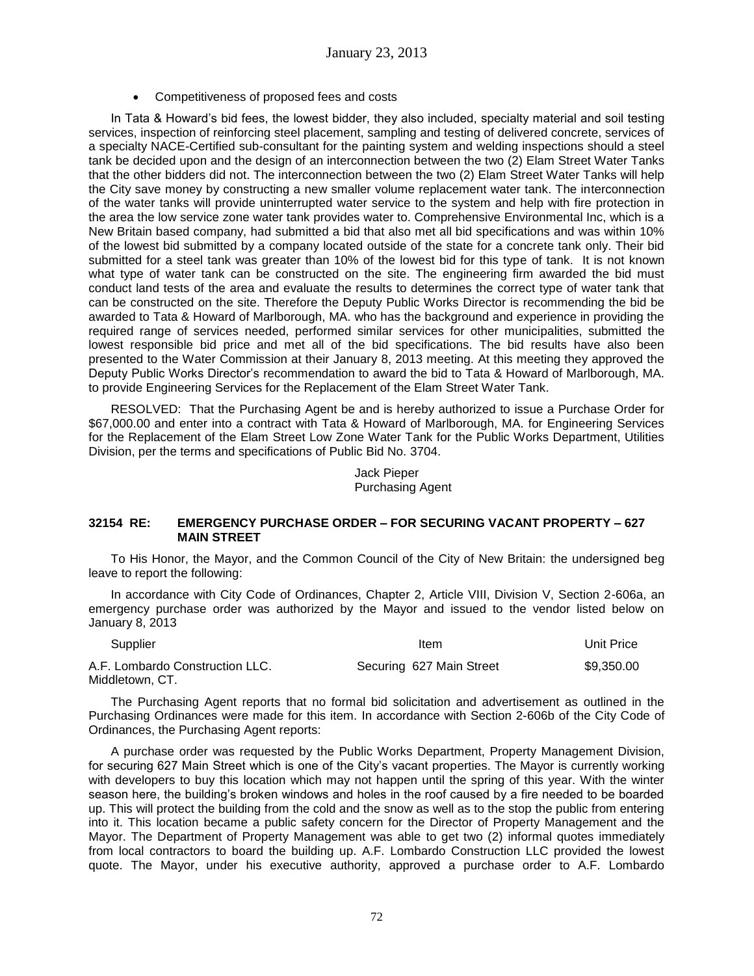Competitiveness of proposed fees and costs

In Tata & Howard's bid fees, the lowest bidder, they also included, specialty material and soil testing services, inspection of reinforcing steel placement, sampling and testing of delivered concrete, services of a specialty NACE-Certified sub-consultant for the painting system and welding inspections should a steel tank be decided upon and the design of an interconnection between the two (2) Elam Street Water Tanks that the other bidders did not. The interconnection between the two (2) Elam Street Water Tanks will help the City save money by constructing a new smaller volume replacement water tank. The interconnection of the water tanks will provide uninterrupted water service to the system and help with fire protection in the area the low service zone water tank provides water to. Comprehensive Environmental Inc, which is a New Britain based company, had submitted a bid that also met all bid specifications and was within 10% of the lowest bid submitted by a company located outside of the state for a concrete tank only. Their bid submitted for a steel tank was greater than 10% of the lowest bid for this type of tank. It is not known what type of water tank can be constructed on the site. The engineering firm awarded the bid must conduct land tests of the area and evaluate the results to determines the correct type of water tank that can be constructed on the site. Therefore the Deputy Public Works Director is recommending the bid be awarded to Tata & Howard of Marlborough, MA. who has the background and experience in providing the required range of services needed, performed similar services for other municipalities, submitted the lowest responsible bid price and met all of the bid specifications. The bid results have also been presented to the Water Commission at their January 8, 2013 meeting. At this meeting they approved the Deputy Public Works Director's recommendation to award the bid to Tata & Howard of Marlborough, MA. to provide Engineering Services for the Replacement of the Elam Street Water Tank.

RESOLVED: That the Purchasing Agent be and is hereby authorized to issue a Purchase Order for \$67,000.00 and enter into a contract with Tata & Howard of Marlborough, MA. for Engineering Services for the Replacement of the Elam Street Low Zone Water Tank for the Public Works Department, Utilities Division, per the terms and specifications of Public Bid No. 3704.

> Jack Pieper Purchasing Agent

#### **32154 RE: EMERGENCY PURCHASE ORDER – FOR SECURING VACANT PROPERTY – 627 MAIN STREET**

To His Honor, the Mayor, and the Common Council of the City of New Britain: the undersigned beg leave to report the following:

In accordance with City Code of Ordinances, Chapter 2, Article VIII, Division V, Section 2-606a, an emergency purchase order was authorized by the Mayor and issued to the vendor listed below on January 8, 2013

Supplier Item Unit Price A.F. Lombardo Construction LLC. Middletown, CT. Securing 627 Main Street \$9,350.00

The Purchasing Agent reports that no formal bid solicitation and advertisement as outlined in the Purchasing Ordinances were made for this item. In accordance with Section 2-606b of the City Code of Ordinances, the Purchasing Agent reports:

A purchase order was requested by the Public Works Department, Property Management Division, for securing 627 Main Street which is one of the City's vacant properties. The Mayor is currently working with developers to buy this location which may not happen until the spring of this year. With the winter season here, the building's broken windows and holes in the roof caused by a fire needed to be boarded up. This will protect the building from the cold and the snow as well as to the stop the public from entering into it. This location became a public safety concern for the Director of Property Management and the Mayor. The Department of Property Management was able to get two (2) informal quotes immediately from local contractors to board the building up. A.F. Lombardo Construction LLC provided the lowest quote. The Mayor, under his executive authority, approved a purchase order to A.F. Lombardo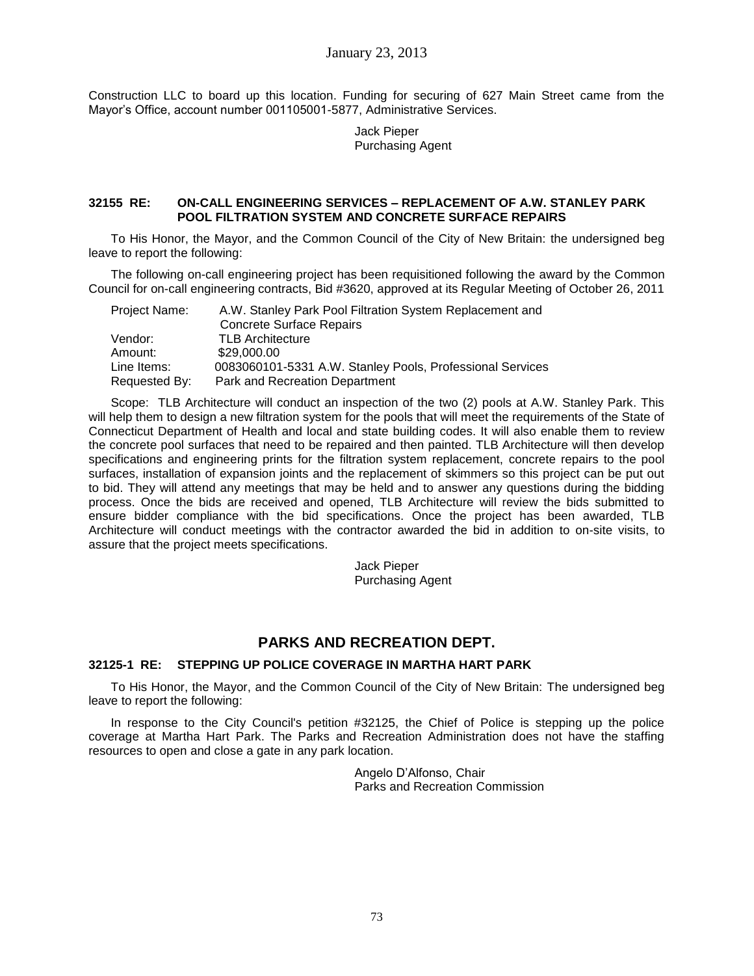Construction LLC to board up this location. Funding for securing of 627 Main Street came from the Mayor's Office, account number 001105001-5877, Administrative Services.

> Jack Pieper Purchasing Agent

#### **32155 RE: ON-CALL ENGINEERING SERVICES – REPLACEMENT OF A.W. STANLEY PARK POOL FILTRATION SYSTEM AND CONCRETE SURFACE REPAIRS**

To His Honor, the Mayor, and the Common Council of the City of New Britain: the undersigned beg leave to report the following:

The following on-call engineering project has been requisitioned following the award by the Common Council for on-call engineering contracts, Bid #3620, approved at its Regular Meeting of October 26, 2011

| Project Name: | A.W. Stanley Park Pool Filtration System Replacement and  |  |
|---------------|-----------------------------------------------------------|--|
|               | <b>Concrete Surface Repairs</b>                           |  |
| Vendor:       | <b>TLB Architecture</b>                                   |  |
| Amount:       | \$29,000.00                                               |  |
| Line Items:   | 0083060101-5331 A.W. Stanley Pools, Professional Services |  |
| Requested By: | Park and Recreation Department                            |  |

Scope: TLB Architecture will conduct an inspection of the two (2) pools at A.W. Stanley Park. This will help them to design a new filtration system for the pools that will meet the requirements of the State of Connecticut Department of Health and local and state building codes. It will also enable them to review the concrete pool surfaces that need to be repaired and then painted. TLB Architecture will then develop specifications and engineering prints for the filtration system replacement, concrete repairs to the pool surfaces, installation of expansion joints and the replacement of skimmers so this project can be put out to bid. They will attend any meetings that may be held and to answer any questions during the bidding process. Once the bids are received and opened, TLB Architecture will review the bids submitted to ensure bidder compliance with the bid specifications. Once the project has been awarded, TLB Architecture will conduct meetings with the contractor awarded the bid in addition to on-site visits, to assure that the project meets specifications.

> Jack Pieper Purchasing Agent

# **PARKS AND RECREATION DEPT.**

#### **32125-1 RE: STEPPING UP POLICE COVERAGE IN MARTHA HART PARK**

To His Honor, the Mayor, and the Common Council of the City of New Britain: The undersigned beg leave to report the following:

In response to the City Council's petition #32125, the Chief of Police is stepping up the police coverage at Martha Hart Park. The Parks and Recreation Administration does not have the staffing resources to open and close a gate in any park location.

> Angelo D'Alfonso, Chair Parks and Recreation Commission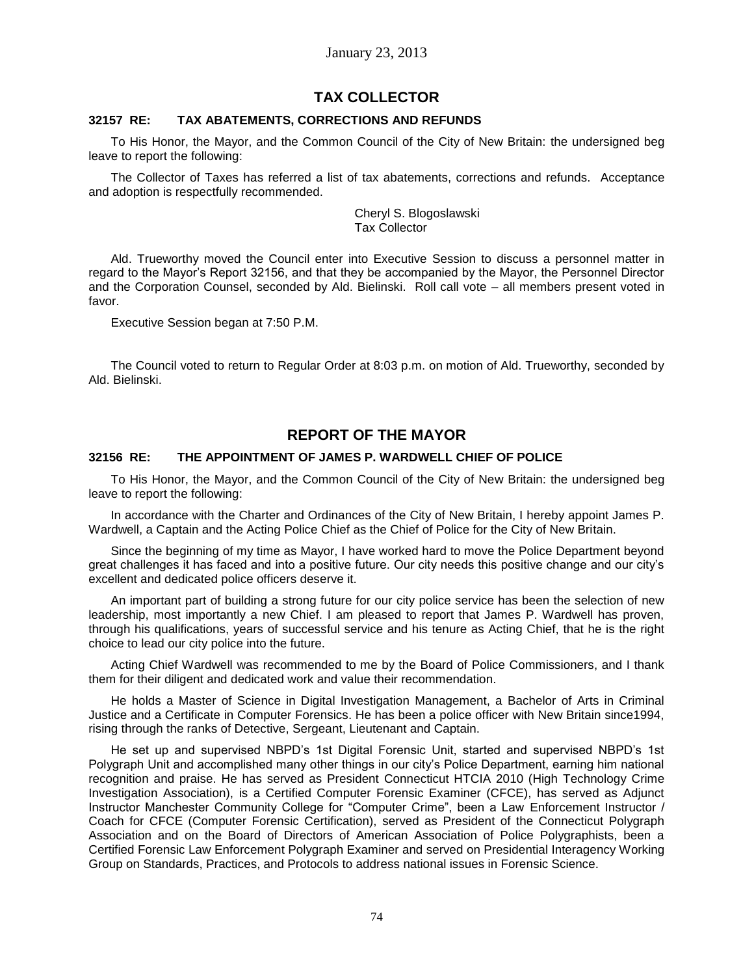## **TAX COLLECTOR**

#### **32157 RE: TAX ABATEMENTS, CORRECTIONS AND REFUNDS**

To His Honor, the Mayor, and the Common Council of the City of New Britain: the undersigned beg leave to report the following:

The Collector of Taxes has referred a list of tax abatements, corrections and refunds. Acceptance and adoption is respectfully recommended.

> Cheryl S. Blogoslawski Tax Collector

Ald. Trueworthy moved the Council enter into Executive Session to discuss a personnel matter in regard to the Mayor's Report 32156, and that they be accompanied by the Mayor, the Personnel Director and the Corporation Counsel, seconded by Ald. Bielinski. Roll call vote – all members present voted in favor.

Executive Session began at 7:50 P.M.

The Council voted to return to Regular Order at 8:03 p.m. on motion of Ald. Trueworthy, seconded by Ald. Bielinski.

## **REPORT OF THE MAYOR**

#### **32156 RE: THE APPOINTMENT OF JAMES P. WARDWELL CHIEF OF POLICE**

To His Honor, the Mayor, and the Common Council of the City of New Britain: the undersigned beg leave to report the following:

In accordance with the Charter and Ordinances of the City of New Britain, I hereby appoint James P. Wardwell, a Captain and the Acting Police Chief as the Chief of Police for the City of New Britain.

Since the beginning of my time as Mayor, I have worked hard to move the Police Department beyond great challenges it has faced and into a positive future. Our city needs this positive change and our city's excellent and dedicated police officers deserve it.

An important part of building a strong future for our city police service has been the selection of new leadership, most importantly a new Chief. I am pleased to report that James P. Wardwell has proven, through his qualifications, years of successful service and his tenure as Acting Chief, that he is the right choice to lead our city police into the future.

Acting Chief Wardwell was recommended to me by the Board of Police Commissioners, and I thank them for their diligent and dedicated work and value their recommendation.

He holds a Master of Science in Digital Investigation Management, a Bachelor of Arts in Criminal Justice and a Certificate in Computer Forensics. He has been a police officer with New Britain since1994, rising through the ranks of Detective, Sergeant, Lieutenant and Captain.

He set up and supervised NBPD's 1st Digital Forensic Unit, started and supervised NBPD's 1st Polygraph Unit and accomplished many other things in our city's Police Department, earning him national recognition and praise. He has served as President Connecticut HTCIA 2010 (High Technology Crime Investigation Association), is a Certified Computer Forensic Examiner (CFCE), has served as Adjunct Instructor Manchester Community College for "Computer Crime", been a Law Enforcement Instructor / Coach for CFCE (Computer Forensic Certification), served as President of the Connecticut Polygraph Association and on the Board of Directors of American Association of Police Polygraphists, been a Certified Forensic Law Enforcement Polygraph Examiner and served on Presidential Interagency Working Group on Standards, Practices, and Protocols to address national issues in Forensic Science.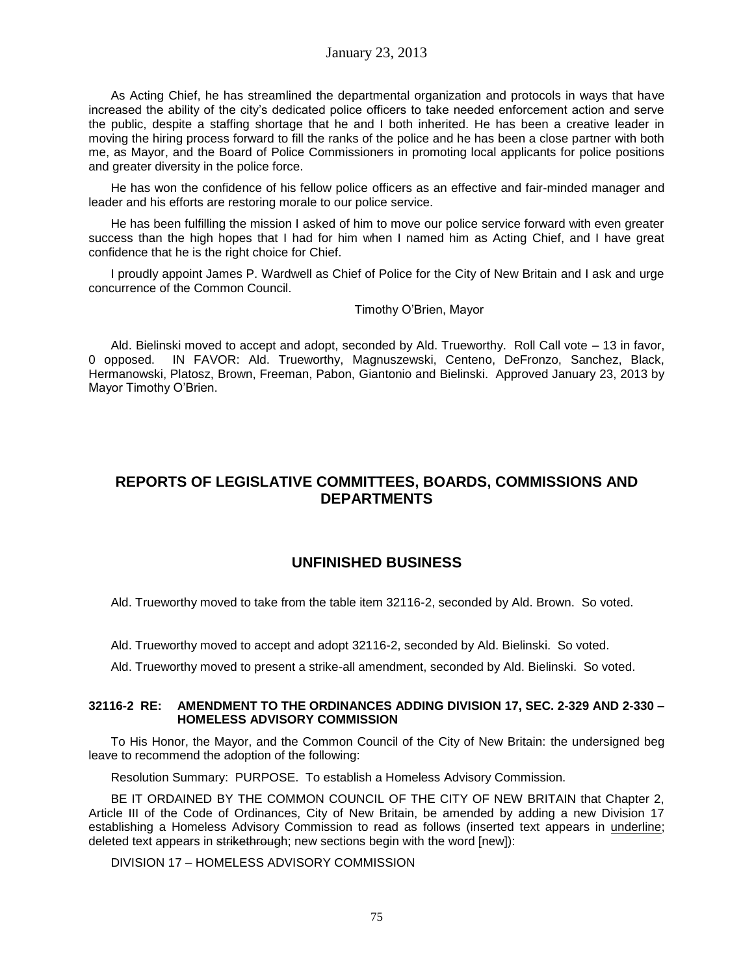As Acting Chief, he has streamlined the departmental organization and protocols in ways that have increased the ability of the city's dedicated police officers to take needed enforcement action and serve the public, despite a staffing shortage that he and I both inherited. He has been a creative leader in moving the hiring process forward to fill the ranks of the police and he has been a close partner with both me, as Mayor, and the Board of Police Commissioners in promoting local applicants for police positions and greater diversity in the police force.

He has won the confidence of his fellow police officers as an effective and fair-minded manager and leader and his efforts are restoring morale to our police service.

He has been fulfilling the mission I asked of him to move our police service forward with even greater success than the high hopes that I had for him when I named him as Acting Chief, and I have great confidence that he is the right choice for Chief.

I proudly appoint James P. Wardwell as Chief of Police for the City of New Britain and I ask and urge concurrence of the Common Council.

Timothy O'Brien, Mayor

Ald. Bielinski moved to accept and adopt, seconded by Ald. Trueworthy. Roll Call vote – 13 in favor, 0 opposed. IN FAVOR: Ald. Trueworthy, Magnuszewski, Centeno, DeFronzo, Sanchez, Black, Hermanowski, Platosz, Brown, Freeman, Pabon, Giantonio and Bielinski. Approved January 23, 2013 by Mayor Timothy O'Brien.

# **REPORTS OF LEGISLATIVE COMMITTEES, BOARDS, COMMISSIONS AND DEPARTMENTS**

### **UNFINISHED BUSINESS**

Ald. Trueworthy moved to take from the table item 32116-2, seconded by Ald. Brown. So voted.

Ald. Trueworthy moved to accept and adopt 32116-2, seconded by Ald. Bielinski. So voted.

Ald. Trueworthy moved to present a strike-all amendment, seconded by Ald. Bielinski. So voted.

#### **32116-2 RE: AMENDMENT TO THE ORDINANCES ADDING DIVISION 17, SEC. 2-329 AND 2-330 – HOMELESS ADVISORY COMMISSION**

To His Honor, the Mayor, and the Common Council of the City of New Britain: the undersigned beg leave to recommend the adoption of the following:

Resolution Summary: PURPOSE. To establish a Homeless Advisory Commission.

BE IT ORDAINED BY THE COMMON COUNCIL OF THE CITY OF NEW BRITAIN that Chapter 2, Article III of the Code of Ordinances, City of New Britain, be amended by adding a new Division 17 establishing a Homeless Advisory Commission to read as follows (inserted text appears in underline; deleted text appears in strikethrough; new sections begin with the word [new]):

#### DIVISION 17 – HOMELESS ADVISORY COMMISSION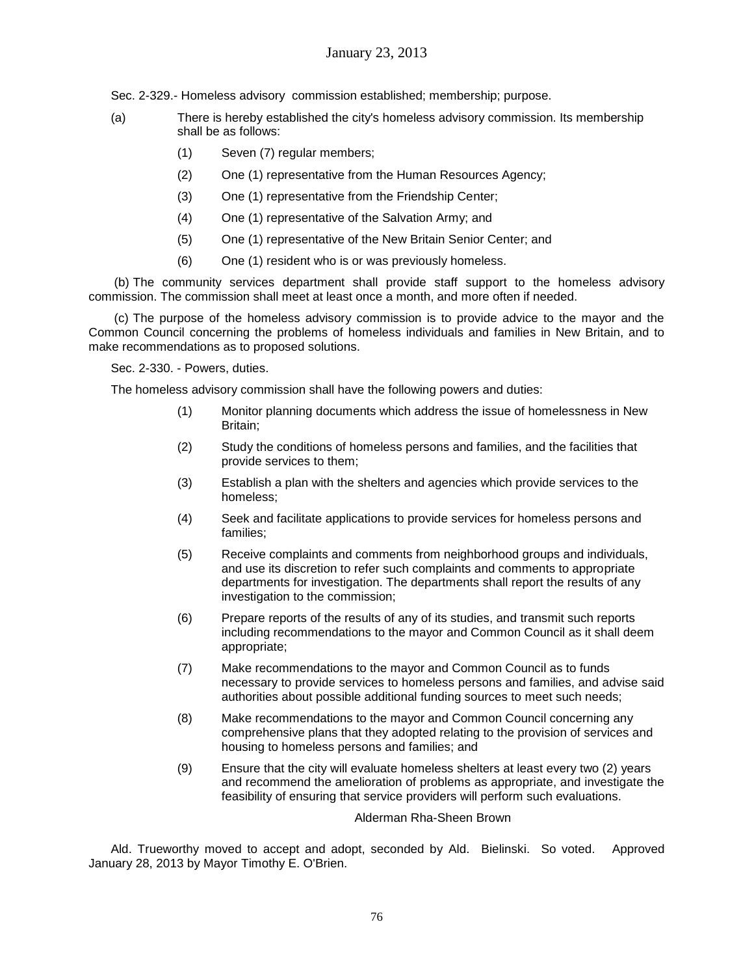Sec. 2-329.- Homeless advisory commission established; membership; purpose.

- (a) There is hereby established the city's homeless advisory commission. Its membership shall be as follows:
	- (1) Seven (7) regular members;
	- (2) One (1) representative from the Human Resources Agency;
	- (3) One (1) representative from the Friendship Center;
	- (4) One (1) representative of the Salvation Army; and
	- (5) One (1) representative of the New Britain Senior Center; and
	- (6) One (1) resident who is or was previously homeless.

(b) The community services department shall provide staff support to the homeless advisory commission. The commission shall meet at least once a month, and more often if needed.

(c) The purpose of the homeless advisory commission is to provide advice to the mayor and the Common Council concerning the problems of homeless individuals and families in New Britain, and to make recommendations as to proposed solutions.

Sec. 2-330. - Powers, duties.

The homeless advisory commission shall have the following powers and duties:

- (1) Monitor planning documents which address the issue of homelessness in New Britain;
- (2) Study the conditions of homeless persons and families, and the facilities that provide services to them;
- (3) Establish a plan with the shelters and agencies which provide services to the homeless;
- (4) Seek and facilitate applications to provide services for homeless persons and families;
- (5) Receive complaints and comments from neighborhood groups and individuals, and use its discretion to refer such complaints and comments to appropriate departments for investigation. The departments shall report the results of any investigation to the commission;
- (6) Prepare reports of the results of any of its studies, and transmit such reports including recommendations to the mayor and Common Council as it shall deem appropriate;
- (7) Make recommendations to the mayor and Common Council as to funds necessary to provide services to homeless persons and families, and advise said authorities about possible additional funding sources to meet such needs;
- (8) Make recommendations to the mayor and Common Council concerning any comprehensive plans that they adopted relating to the provision of services and housing to homeless persons and families; and
- (9) Ensure that the city will evaluate homeless shelters at least every two (2) years and recommend the amelioration of problems as appropriate, and investigate the feasibility of ensuring that service providers will perform such evaluations.

#### Alderman Rha-Sheen Brown

Ald. Trueworthy moved to accept and adopt, seconded by Ald. Bielinski. So voted. Approved January 28, 2013 by Mayor Timothy E. O'Brien.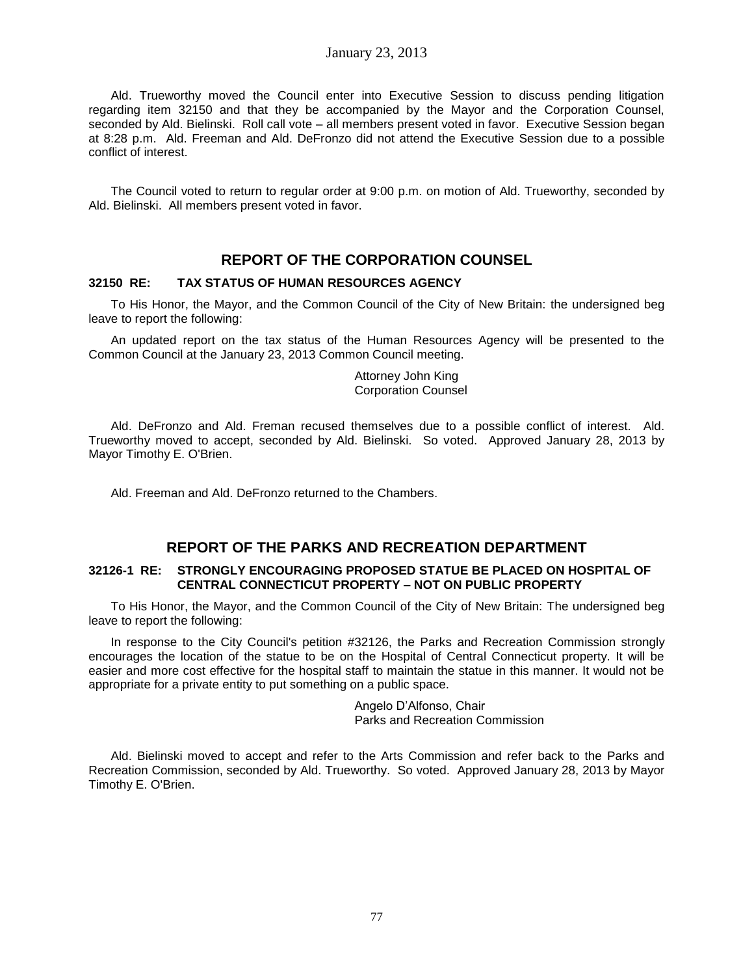Ald. Trueworthy moved the Council enter into Executive Session to discuss pending litigation regarding item 32150 and that they be accompanied by the Mayor and the Corporation Counsel, seconded by Ald. Bielinski. Roll call vote – all members present voted in favor. Executive Session began at 8:28 p.m. Ald. Freeman and Ald. DeFronzo did not attend the Executive Session due to a possible conflict of interest.

The Council voted to return to regular order at 9:00 p.m. on motion of Ald. Trueworthy, seconded by Ald. Bielinski. All members present voted in favor.

### **REPORT OF THE CORPORATION COUNSEL**

#### **32150 RE: TAX STATUS OF HUMAN RESOURCES AGENCY**

To His Honor, the Mayor, and the Common Council of the City of New Britain: the undersigned beg leave to report the following:

An updated report on the tax status of the Human Resources Agency will be presented to the Common Council at the January 23, 2013 Common Council meeting.

> Attorney John King Corporation Counsel

Ald. DeFronzo and Ald. Freman recused themselves due to a possible conflict of interest. Ald. Trueworthy moved to accept, seconded by Ald. Bielinski. So voted. Approved January 28, 2013 by Mayor Timothy E. O'Brien.

Ald. Freeman and Ald. DeFronzo returned to the Chambers.

### **REPORT OF THE PARKS AND RECREATION DEPARTMENT**

#### **32126-1 RE: STRONGLY ENCOURAGING PROPOSED STATUE BE PLACED ON HOSPITAL OF CENTRAL CONNECTICUT PROPERTY – NOT ON PUBLIC PROPERTY**

To His Honor, the Mayor, and the Common Council of the City of New Britain: The undersigned beg leave to report the following:

In response to the City Council's petition #32126, the Parks and Recreation Commission strongly encourages the location of the statue to be on the Hospital of Central Connecticut property. It will be easier and more cost effective for the hospital staff to maintain the statue in this manner. It would not be appropriate for a private entity to put something on a public space.

> Angelo D'Alfonso, Chair Parks and Recreation Commission

Ald. Bielinski moved to accept and refer to the Arts Commission and refer back to the Parks and Recreation Commission, seconded by Ald. Trueworthy. So voted. Approved January 28, 2013 by Mayor Timothy E. O'Brien.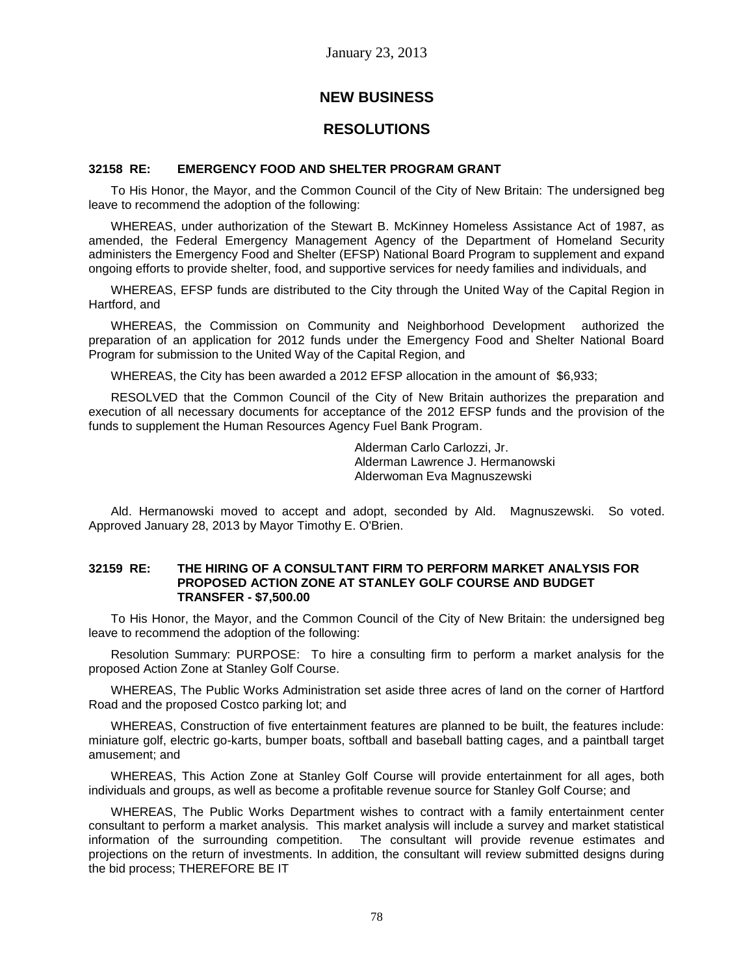# **NEW BUSINESS**

## **RESOLUTIONS**

#### **32158 RE: EMERGENCY FOOD AND SHELTER PROGRAM GRANT**

To His Honor, the Mayor, and the Common Council of the City of New Britain: The undersigned beg leave to recommend the adoption of the following:

WHEREAS, under authorization of the Stewart B. McKinney Homeless Assistance Act of 1987, as amended, the Federal Emergency Management Agency of the Department of Homeland Security administers the Emergency Food and Shelter (EFSP) National Board Program to supplement and expand ongoing efforts to provide shelter, food, and supportive services for needy families and individuals, and

WHEREAS, EFSP funds are distributed to the City through the United Way of the Capital Region in Hartford, and

WHEREAS, the Commission on Community and Neighborhood Development authorized the preparation of an application for 2012 funds under the Emergency Food and Shelter National Board Program for submission to the United Way of the Capital Region, and

WHEREAS, the City has been awarded a 2012 EFSP allocation in the amount of \$6,933;

RESOLVED that the Common Council of the City of New Britain authorizes the preparation and execution of all necessary documents for acceptance of the 2012 EFSP funds and the provision of the funds to supplement the Human Resources Agency Fuel Bank Program.

> Alderman Carlo Carlozzi, Jr. Alderman Lawrence J. Hermanowski Alderwoman Eva Magnuszewski

Ald. Hermanowski moved to accept and adopt, seconded by Ald. Magnuszewski. So voted. Approved January 28, 2013 by Mayor Timothy E. O'Brien.

#### **32159 RE: THE HIRING OF A CONSULTANT FIRM TO PERFORM MARKET ANALYSIS FOR PROPOSED ACTION ZONE AT STANLEY GOLF COURSE AND BUDGET TRANSFER - \$7,500.00**

To His Honor, the Mayor, and the Common Council of the City of New Britain: the undersigned beg leave to recommend the adoption of the following:

Resolution Summary: PURPOSE: To hire a consulting firm to perform a market analysis for the proposed Action Zone at Stanley Golf Course.

WHEREAS, The Public Works Administration set aside three acres of land on the corner of Hartford Road and the proposed Costco parking lot; and

WHEREAS, Construction of five entertainment features are planned to be built, the features include: miniature golf, electric go-karts, bumper boats, softball and baseball batting cages, and a paintball target amusement; and

WHEREAS, This Action Zone at Stanley Golf Course will provide entertainment for all ages, both individuals and groups, as well as become a profitable revenue source for Stanley Golf Course; and

WHEREAS, The Public Works Department wishes to contract with a family entertainment center consultant to perform a market analysis. This market analysis will include a survey and market statistical information of the surrounding competition. The consultant will provide revenue estimates and projections on the return of investments. In addition, the consultant will review submitted designs during the bid process; THEREFORE BE IT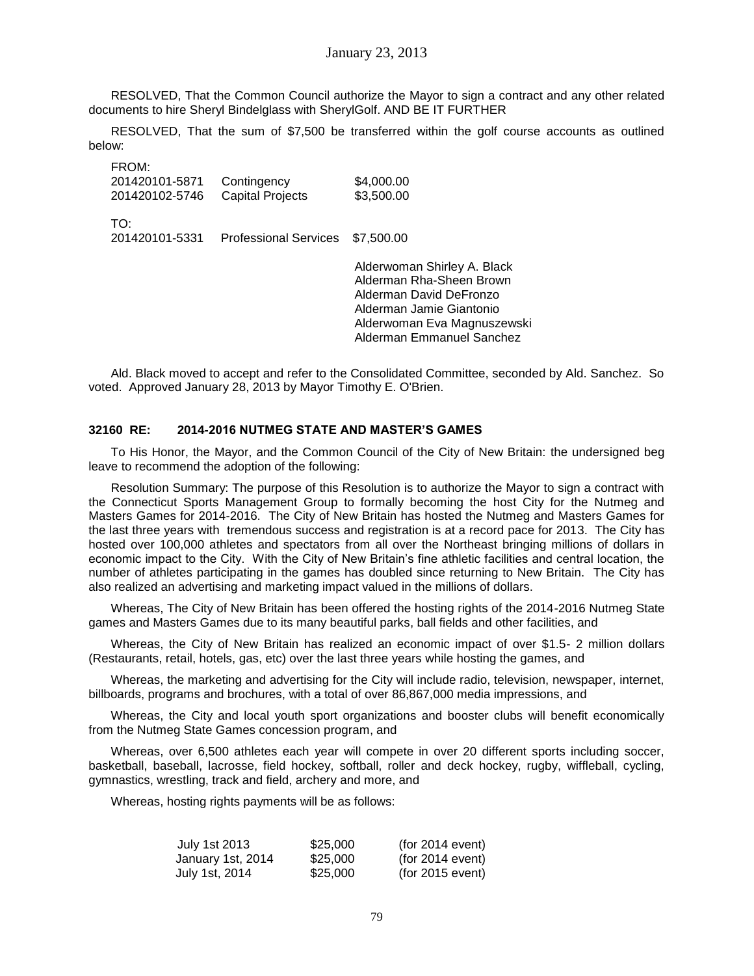RESOLVED, That the Common Council authorize the Mayor to sign a contract and any other related documents to hire Sheryl Bindelglass with SherylGolf. AND BE IT FURTHER

RESOLVED, That the sum of \$7,500 be transferred within the golf course accounts as outlined below:

| FROM:<br>201420101-5871<br>201420102-5746 | Contingency<br><b>Capital Projects</b> | \$4,000.00<br>\$3,500.00                                                                                                                                                   |
|-------------------------------------------|----------------------------------------|----------------------------------------------------------------------------------------------------------------------------------------------------------------------------|
| TO:<br>201420101-5331                     | <b>Professional Services</b>           | \$7,500.00                                                                                                                                                                 |
|                                           |                                        | Alderwoman Shirley A. Black<br>Alderman Rha-Sheen Brown<br>Alderman David DeFronzo<br>Alderman Jamie Giantonio<br>Alderwoman Eva Magnuszewski<br>Alderman Emmanuel Sanchez |

Ald. Black moved to accept and refer to the Consolidated Committee, seconded by Ald. Sanchez. So voted. Approved January 28, 2013 by Mayor Timothy E. O'Brien.

#### **32160 RE: 2014-2016 NUTMEG STATE AND MASTER'S GAMES**

To His Honor, the Mayor, and the Common Council of the City of New Britain: the undersigned beg leave to recommend the adoption of the following:

Resolution Summary: The purpose of this Resolution is to authorize the Mayor to sign a contract with the Connecticut Sports Management Group to formally becoming the host City for the Nutmeg and Masters Games for 2014-2016. The City of New Britain has hosted the Nutmeg and Masters Games for the last three years with tremendous success and registration is at a record pace for 2013. The City has hosted over 100,000 athletes and spectators from all over the Northeast bringing millions of dollars in economic impact to the City. With the City of New Britain's fine athletic facilities and central location, the number of athletes participating in the games has doubled since returning to New Britain. The City has also realized an advertising and marketing impact valued in the millions of dollars.

Whereas, The City of New Britain has been offered the hosting rights of the 2014-2016 Nutmeg State games and Masters Games due to its many beautiful parks, ball fields and other facilities, and

Whereas, the City of New Britain has realized an economic impact of over \$1.5- 2 million dollars (Restaurants, retail, hotels, gas, etc) over the last three years while hosting the games, and

Whereas, the marketing and advertising for the City will include radio, television, newspaper, internet, billboards, programs and brochures, with a total of over 86,867,000 media impressions, and

Whereas, the City and local youth sport organizations and booster clubs will benefit economically from the Nutmeg State Games concession program, and

Whereas, over 6,500 athletes each year will compete in over 20 different sports including soccer, basketball, baseball, lacrosse, field hockey, softball, roller and deck hockey, rugby, wiffleball, cycling, gymnastics, wrestling, track and field, archery and more, and

Whereas, hosting rights payments will be as follows:

| July 1st 2013     | \$25,000 | (for $2014$ event) |
|-------------------|----------|--------------------|
| January 1st, 2014 | \$25,000 | (for 2014 event)   |
| July 1st, 2014    | \$25,000 | (for 2015 event)   |